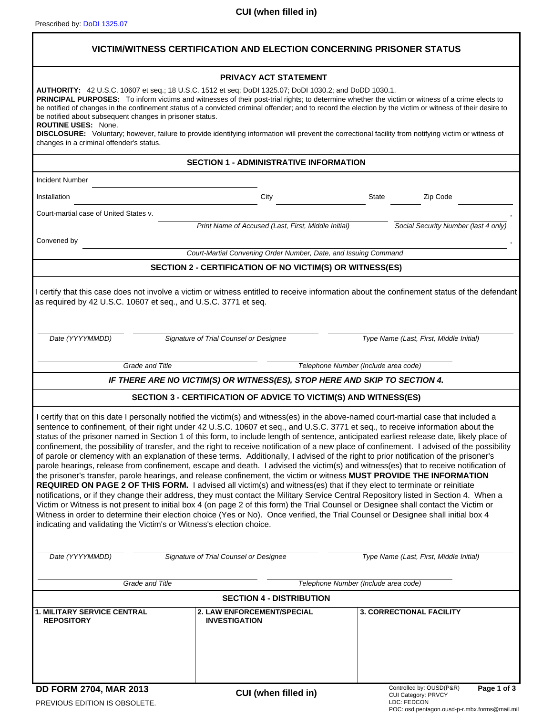| VICTIM/WITNESS CERTIFICATION AND ELECTION CONCERNING PRISONER STATUS                                                               |                                                                                                                                                                                                                                                                                                                                                                                                                                                                                                                                                                                                                                                                                                                                                                                                                                                                                                                                                     |                                                                                                                                                                                                                                                                                                                                                                                                                                                                                                                                                                           |  |  |
|------------------------------------------------------------------------------------------------------------------------------------|-----------------------------------------------------------------------------------------------------------------------------------------------------------------------------------------------------------------------------------------------------------------------------------------------------------------------------------------------------------------------------------------------------------------------------------------------------------------------------------------------------------------------------------------------------------------------------------------------------------------------------------------------------------------------------------------------------------------------------------------------------------------------------------------------------------------------------------------------------------------------------------------------------------------------------------------------------|---------------------------------------------------------------------------------------------------------------------------------------------------------------------------------------------------------------------------------------------------------------------------------------------------------------------------------------------------------------------------------------------------------------------------------------------------------------------------------------------------------------------------------------------------------------------------|--|--|
|                                                                                                                                    | <b>PRIVACY ACT STATEMENT</b>                                                                                                                                                                                                                                                                                                                                                                                                                                                                                                                                                                                                                                                                                                                                                                                                                                                                                                                        |                                                                                                                                                                                                                                                                                                                                                                                                                                                                                                                                                                           |  |  |
| be notified about subsequent changes in prisoner status.<br><b>ROUTINE USES: None.</b><br>changes in a criminal offender's status. | <b>AUTHORITY:</b> 42 U.S.C. 10607 et seq.; 18 U.S.C. 1512 et seq; DoDI 1325.07; DoDI 1030.2; and DoDD 1030.1.                                                                                                                                                                                                                                                                                                                                                                                                                                                                                                                                                                                                                                                                                                                                                                                                                                       | PRINCIPAL PURPOSES: To inform victims and witnesses of their post-trial rights; to determine whether the victim or witness of a crime elects to<br>be notified of changes in the confinement status of a convicted criminal offender; and to record the election by the victim or witness of their desire to<br>DISCLOSURE: Voluntary; however, failure to provide identifying information will prevent the correctional facility from notifying victim or witness of                                                                                                     |  |  |
|                                                                                                                                    | <b>SECTION 1 - ADMINISTRATIVE INFORMATION</b>                                                                                                                                                                                                                                                                                                                                                                                                                                                                                                                                                                                                                                                                                                                                                                                                                                                                                                       |                                                                                                                                                                                                                                                                                                                                                                                                                                                                                                                                                                           |  |  |
| Incident Number                                                                                                                    |                                                                                                                                                                                                                                                                                                                                                                                                                                                                                                                                                                                                                                                                                                                                                                                                                                                                                                                                                     |                                                                                                                                                                                                                                                                                                                                                                                                                                                                                                                                                                           |  |  |
| Installation                                                                                                                       | City                                                                                                                                                                                                                                                                                                                                                                                                                                                                                                                                                                                                                                                                                                                                                                                                                                                                                                                                                | State<br>Zip Code                                                                                                                                                                                                                                                                                                                                                                                                                                                                                                                                                         |  |  |
| Court-martial case of United States v.                                                                                             |                                                                                                                                                                                                                                                                                                                                                                                                                                                                                                                                                                                                                                                                                                                                                                                                                                                                                                                                                     |                                                                                                                                                                                                                                                                                                                                                                                                                                                                                                                                                                           |  |  |
|                                                                                                                                    | Print Name of Accused (Last, First, Middle Initial)                                                                                                                                                                                                                                                                                                                                                                                                                                                                                                                                                                                                                                                                                                                                                                                                                                                                                                 | Social Security Number (last 4 only)                                                                                                                                                                                                                                                                                                                                                                                                                                                                                                                                      |  |  |
| Convened by                                                                                                                        |                                                                                                                                                                                                                                                                                                                                                                                                                                                                                                                                                                                                                                                                                                                                                                                                                                                                                                                                                     |                                                                                                                                                                                                                                                                                                                                                                                                                                                                                                                                                                           |  |  |
|                                                                                                                                    | Court-Martial Convening Order Number, Date, and Issuing Command                                                                                                                                                                                                                                                                                                                                                                                                                                                                                                                                                                                                                                                                                                                                                                                                                                                                                     |                                                                                                                                                                                                                                                                                                                                                                                                                                                                                                                                                                           |  |  |
|                                                                                                                                    | SECTION 2 - CERTIFICATION OF NO VICTIM(S) OR WITNESS(ES)                                                                                                                                                                                                                                                                                                                                                                                                                                                                                                                                                                                                                                                                                                                                                                                                                                                                                            |                                                                                                                                                                                                                                                                                                                                                                                                                                                                                                                                                                           |  |  |
| Date (YYYYMMDD)                                                                                                                    | Signature of Trial Counsel or Designee                                                                                                                                                                                                                                                                                                                                                                                                                                                                                                                                                                                                                                                                                                                                                                                                                                                                                                              | Type Name (Last, First, Middle Initial)                                                                                                                                                                                                                                                                                                                                                                                                                                                                                                                                   |  |  |
|                                                                                                                                    | Grade and Title<br>Telephone Number (Include area code)                                                                                                                                                                                                                                                                                                                                                                                                                                                                                                                                                                                                                                                                                                                                                                                                                                                                                             |                                                                                                                                                                                                                                                                                                                                                                                                                                                                                                                                                                           |  |  |
|                                                                                                                                    | IF THERE ARE NO VICTIM(S) OR WITNESS(ES), STOP HERE AND SKIP TO SECTION 4.                                                                                                                                                                                                                                                                                                                                                                                                                                                                                                                                                                                                                                                                                                                                                                                                                                                                          |                                                                                                                                                                                                                                                                                                                                                                                                                                                                                                                                                                           |  |  |
|                                                                                                                                    | SECTION 3 - CERTIFICATION OF ADVICE TO VICTIM(S) AND WITNESS(ES)                                                                                                                                                                                                                                                                                                                                                                                                                                                                                                                                                                                                                                                                                                                                                                                                                                                                                    |                                                                                                                                                                                                                                                                                                                                                                                                                                                                                                                                                                           |  |  |
| indicating and validating the Victim's or Witness's election choice.                                                               | I certify that on this date I personally notified the victim(s) and witness(es) in the above-named court-martial case that included a<br>sentence to confinement, of their right under 42 U.S.C. 10607 et seq., and U.S.C. 3771 et seq., to receive information about the<br>of parole or clemency with an explanation of these terms. Additionally, I advised of the right to prior notification of the prisoner's<br>the prisoner's transfer, parole hearings, and release confinement, the victim or witness MUST PROVIDE THE INFORMATION<br>REQUIRED ON PAGE 2 OF THIS FORM. I advised all victim(s) and witness(es) that if they elect to terminate or reinitiate<br>Victim or Witness is not present to initial box 4 (on page 2 of this form) the Trial Counsel or Designee shall contact the Victim or<br>Witness in order to determine their election choice (Yes or No). Once verified, the Trial Counsel or Designee shall initial box 4 | status of the prisoner named in Section 1 of this form, to include length of sentence, anticipated earliest release date, likely place of<br>confinement, the possibility of transfer, and the right to receive notification of a new place of confinement. I advised of the possibility<br>parole hearings, release from confinement, escape and death. I advised the victim(s) and witness(es) that to receive notification of<br>notifications, or if they change their address, they must contact the Military Service Central Repository listed in Section 4. When a |  |  |
| Date (YYYYMMDD)                                                                                                                    | Signature of Trial Counsel or Designee                                                                                                                                                                                                                                                                                                                                                                                                                                                                                                                                                                                                                                                                                                                                                                                                                                                                                                              | Type Name (Last, First, Middle Initial)                                                                                                                                                                                                                                                                                                                                                                                                                                                                                                                                   |  |  |
| Grade and Title                                                                                                                    |                                                                                                                                                                                                                                                                                                                                                                                                                                                                                                                                                                                                                                                                                                                                                                                                                                                                                                                                                     | Telephone Number (Include area code)                                                                                                                                                                                                                                                                                                                                                                                                                                                                                                                                      |  |  |
| <b>1. MILITARY SERVICE CENTRAL</b>                                                                                                 | <b>SECTION 4 - DISTRIBUTION</b><br><b>2. LAW ENFORCEMENT/SPECIAL</b>                                                                                                                                                                                                                                                                                                                                                                                                                                                                                                                                                                                                                                                                                                                                                                                                                                                                                | <b>3. CORRECTIONAL FACILITY</b>                                                                                                                                                                                                                                                                                                                                                                                                                                                                                                                                           |  |  |
| <b>REPOSITORY</b>                                                                                                                  | <b>INVESTIGATION</b>                                                                                                                                                                                                                                                                                                                                                                                                                                                                                                                                                                                                                                                                                                                                                                                                                                                                                                                                |                                                                                                                                                                                                                                                                                                                                                                                                                                                                                                                                                                           |  |  |
| <b>DD FORM 2704, MAR 2013</b><br>PREVIOUS EDITION IS OBSOLETE.                                                                     | CUI (when filled in)                                                                                                                                                                                                                                                                                                                                                                                                                                                                                                                                                                                                                                                                                                                                                                                                                                                                                                                                | Controlled by: OUSD(P&R)<br>Page 1 of 3<br>CUI Category: PRVCY<br>LDC: FEDCON<br>POC: osd.pentagon.ousd-p-r.mbx.forms@mail.mil                                                                                                                                                                                                                                                                                                                                                                                                                                            |  |  |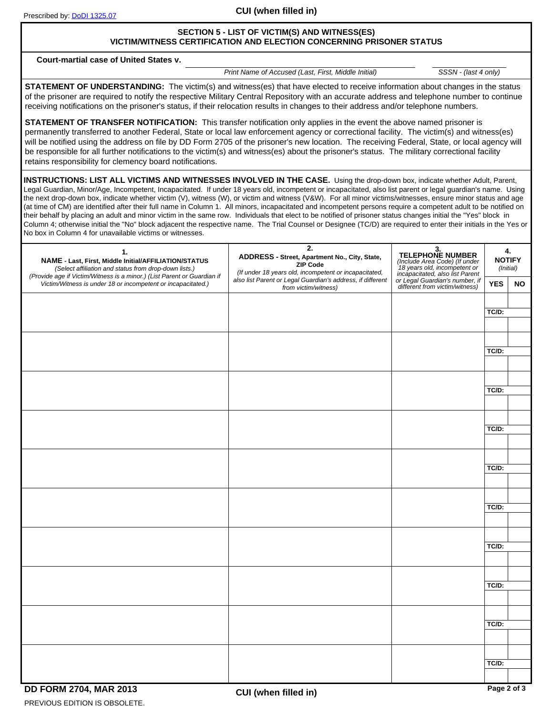**CUI (when filled in)**

# **SECTION 5 - LIST OF VICTIM(S) AND WITNESS(ES) VICTIM/WITNESS CERTIFICATION AND ELECTION CONCERNING PRISONER STATUS**

**Court-martial case of United States v.**

*Print Name of Accused (Last, First, Middle Initial) SSSN - (last 4 only)*

**STATEMENT OF UNDERSTANDING:** The victim(s) and witness(es) that have elected to receive information about changes in the status of the prisoner are required to notify the respective Military Central Repository with an accurate address and telephone number to continue receiving notifications on the prisoner's status, if their relocation results in changes to their address and/or telephone numbers.

**STATEMENT OF TRANSFER NOTIFICATION:** This transfer notification only applies in the event the above named prisoner is permanently transferred to another Federal, State or local law enforcement agency or correctional facility. The victim(s) and witness(es) will be notified using the address on file by DD Form 2705 of the prisoner's new location. The receiving Federal, State, or local agency will be responsible for all further notifications to the victim(s) and witness(es) about the prisoner's status. The military correctional facility retains responsibility for clemency board notifications.

**INSTRUCTIONS: LIST ALL VICTIMS AND WITNESSES INVOLVED IN THE CASE.** Using the drop-down box, indicate whether Adult, Parent, Legal Guardian, Minor/Age, Incompetent, Incapacitated. If under 18 years old, incompetent or incapacitated, also list parent or legal guardian's name. Using the next drop-down box, indicate whether victim (V), witness (W), or victim and witness (V&W). For all minor victims/witnesses, ensure minor status and age (at time of CM) are identified after their full name in Column 1. All minors, incapacitated and incompetent persons require a competent adult to be notified on their behalf by placing an adult and minor victim in the same row. Individuals that elect to be notified of prisoner status changes initial the "Yes" block in Column 4; otherwise initial the "No" block adjacent the respective name. The Trial Counsel or Designee (TC/D) are required to enter their initials in the Yes or No box in Column 4 for unavailable victims or witnesses.

| 1.<br>NAME - Last, First, Middle Initial/AFFILIATION/STATUS<br>(Select affiliation and status from drop-down lists.)<br>(Provide age if Victim/Witness is a minor.) (List Parent or Guardian if | $\overline{2}$ .<br>ADDRESS - Street, Apartment No., City, State,<br>ZIP Code<br>(If under 18 years old, incompetent or incapacitated, | 3.<br>TELEPHONE NUMBER<br>(Include Area Code) (If under<br>18 years old, incompetent or<br>incapacitated, also list Parent | 4.<br><b>NOTIFY</b><br>(Initial) |           |
|-------------------------------------------------------------------------------------------------------------------------------------------------------------------------------------------------|----------------------------------------------------------------------------------------------------------------------------------------|----------------------------------------------------------------------------------------------------------------------------|----------------------------------|-----------|
| Victim/Witness is under 18 or incompetent or incapacitated.)                                                                                                                                    | also list Parent or Legal Guardian's address, if different<br>from victim/witness)                                                     | or Legal Guardian's number, if<br>different from victim/witness)                                                           | <b>YES</b>                       | <b>NO</b> |
| $\blacktriangledown$                                                                                                                                                                            |                                                                                                                                        |                                                                                                                            | TC/D:                            |           |
| ▼                                                                                                                                                                                               |                                                                                                                                        |                                                                                                                            |                                  |           |
| ▼                                                                                                                                                                                               |                                                                                                                                        |                                                                                                                            |                                  |           |
| $\blacktriangledown$                                                                                                                                                                            |                                                                                                                                        |                                                                                                                            | $TC/D$ :                         |           |
| $\blacktriangledown$                                                                                                                                                                            |                                                                                                                                        |                                                                                                                            |                                  |           |
| ▼                                                                                                                                                                                               |                                                                                                                                        |                                                                                                                            | $TC/D$ :                         |           |
| $\overline{\phantom{a}}$                                                                                                                                                                        |                                                                                                                                        |                                                                                                                            |                                  |           |
| ▼                                                                                                                                                                                               |                                                                                                                                        |                                                                                                                            | TC/D:                            |           |
|                                                                                                                                                                                                 |                                                                                                                                        |                                                                                                                            |                                  |           |
|                                                                                                                                                                                                 |                                                                                                                                        |                                                                                                                            | $TC/D$ :                         |           |
| ▼                                                                                                                                                                                               |                                                                                                                                        |                                                                                                                            |                                  |           |
| ▼                                                                                                                                                                                               |                                                                                                                                        |                                                                                                                            | $TC/D$ :                         |           |
| $\overline{\phantom{a}}$                                                                                                                                                                        |                                                                                                                                        |                                                                                                                            |                                  |           |
|                                                                                                                                                                                                 |                                                                                                                                        |                                                                                                                            |                                  |           |
| ▼                                                                                                                                                                                               |                                                                                                                                        |                                                                                                                            | $TC/D$ :                         |           |
|                                                                                                                                                                                                 |                                                                                                                                        |                                                                                                                            |                                  |           |
| $\blacktriangledown$                                                                                                                                                                            |                                                                                                                                        |                                                                                                                            | TC/D:                            |           |
|                                                                                                                                                                                                 |                                                                                                                                        |                                                                                                                            |                                  |           |
|                                                                                                                                                                                                 |                                                                                                                                        |                                                                                                                            | $TC/D$ :                         |           |
| $\overline{\phantom{0}}$                                                                                                                                                                        |                                                                                                                                        |                                                                                                                            |                                  |           |
|                                                                                                                                                                                                 |                                                                                                                                        |                                                                                                                            | TC/D:                            |           |
| ▼                                                                                                                                                                                               |                                                                                                                                        |                                                                                                                            |                                  |           |

PREVIOUS EDITION IS OBSOLETE. **DD FORM 2704, MAR 2013**